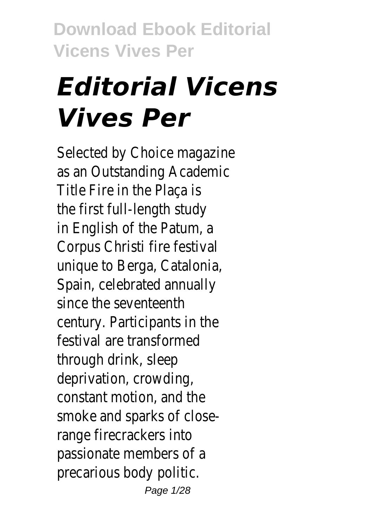# *Editorial Vicens Vives Per*

Selected by Choice magazine as an Outstanding Academic Title Fire in the Plaça is the first full-length study in English of the Patum, a Corpus Christi fire festival unique to Berga, Catalonia, Spain, celebrated annually since the seventeenth century. Participants in the festival are transformed through drink, sleep deprivation, crowding, constant motion, and the smoke and sparks of closerange firecrackers into passionate members of a precarious body politic. Page 1/28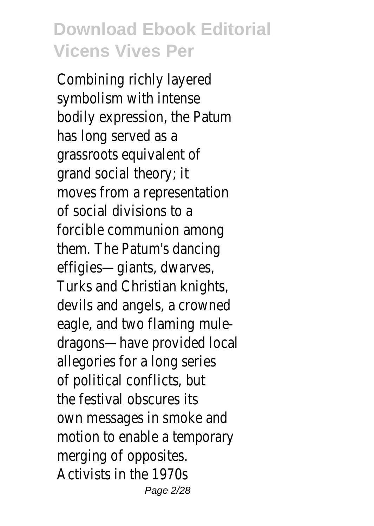Combining richly layered symbolism with intense bodily expression, the Patum has long served as a grassroots equivalent of grand social theory; it moves from a representation of social divisions to a forcible communion among them. The Patum's dancing effigies—giants, dwarves, Turks and Christian knights, devils and angels, a crowned eagle, and two flaming muledragons—have provided local allegories for a long series of political conflicts, but the festival obscures its own messages in smoke and motion to enable a temporary merging of opposites. Activists in the 1970s Page 2/28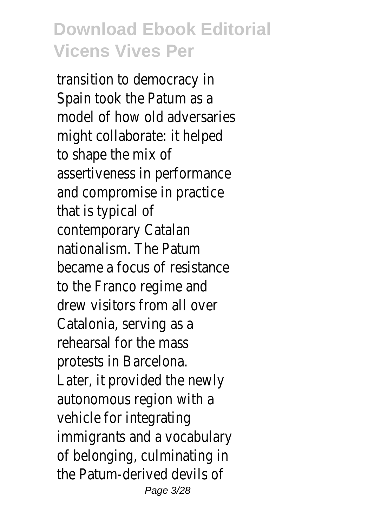transition to democracy in Spain took the Patum as a model of how old adversaries might collaborate: it helped to shape the mix of assertiveness in performance and compromise in practice that is typical of contemporary Catalan nationalism. The Patum became a focus of resistance to the Franco regime and drew visitors from all over Catalonia, serving as a rehearsal for the mass protests in Barcelona. Later, it provided the newly autonomous region with a vehicle for integrating immigrants and a vocabulary of belonging, culminating in the Patum-derived devils of Page 3/28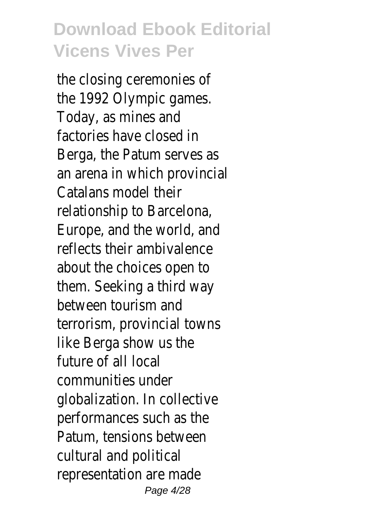the closing ceremonies of the 1992 Olympic games. Today, as mines and factories have closed in Berga, the Patum serves as an arena in which provincial Catalans model their relationship to Barcelona, Europe, and the world, and reflects their ambivalence about the choices open to them. Seeking a third way between tourism and terrorism, provincial towns like Berga show us the future of all local communities under globalization. In collective performances such as the Patum, tensions between cultural and political representation are made Page 4/28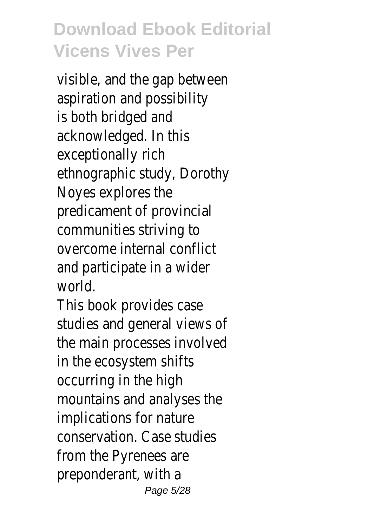visible, and the gap between aspiration and possibility is both bridged and acknowledged. In this exceptionally rich ethnographic study, Dorothy Noyes explores the predicament of provincial communities striving to overcome internal conflict and participate in a wider world.

This book provides case studies and general views of the main processes involved in the ecosystem shifts occurring in the high mountains and analyses the implications for nature conservation. Case studies from the Pyrenees are preponderant, with a Page 5/28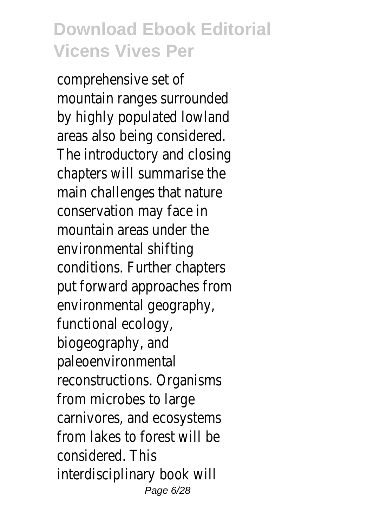comprehensive set of mountain ranges surrounded by highly populated lowland areas also being considered. The introductory and closing chapters will summarise the main challenges that nature conservation may face in mountain areas under the environmental shifting conditions. Further chapters put forward approaches from environmental geography, functional ecology, biogeography, and paleoenvironmental reconstructions. Organisms from microbes to large carnivores, and ecosystems from lakes to forest will be considered. This interdisciplinary book will Page 6/28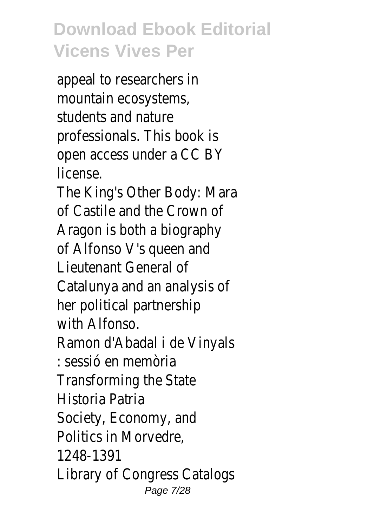appeal to researchers in mountain ecosystems, students and nature professionals. This book is open access under a CC BY license.

The King's Other Body: Mara of Castile and the Crown of Aragon is both a biography of Alfonso V's queen and Lieutenant General of Catalunya and an analysis of her political partnership with Alfonso.

Ramon d'Abadal i de Vinyals : sessió en memòria Transforming the State Historia Patria Society, Economy, and Politics in Morvedre, 1248-1391 Library of Congress Catalogs Page 7/28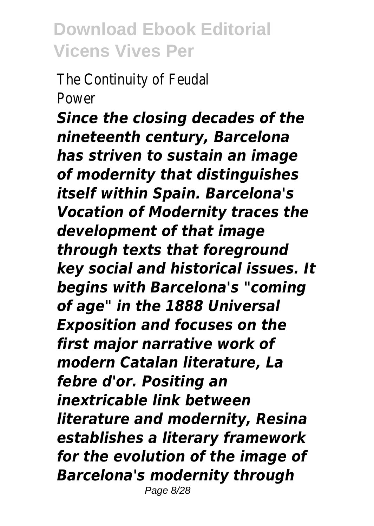The Continuity of Feudal Power

*Since the closing decades of the nineteenth century, Barcelona has striven to sustain an image of modernity that distinguishes itself within Spain. Barcelona's Vocation of Modernity traces the development of that image through texts that foreground key social and historical issues. It begins with Barcelona's "coming of age" in the 1888 Universal Exposition and focuses on the first major narrative work of modern Catalan literature, La febre d'or. Positing an inextricable link between literature and modernity, Resina establishes a literary framework for the evolution of the image of Barcelona's modernity through* Page 8/28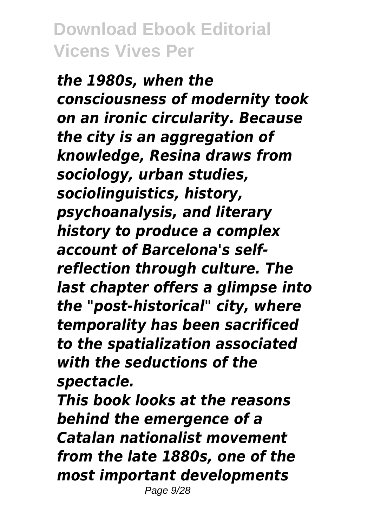*the 1980s, when the consciousness of modernity took on an ironic circularity. Because the city is an aggregation of knowledge, Resina draws from sociology, urban studies, sociolinguistics, history, psychoanalysis, and literary history to produce a complex account of Barcelona's selfreflection through culture. The last chapter offers a glimpse into the "post-historical" city, where temporality has been sacrificed to the spatialization associated with the seductions of the spectacle.*

*This book looks at the reasons behind the emergence of a Catalan nationalist movement from the late 1880s, one of the most important developments* Page 9/28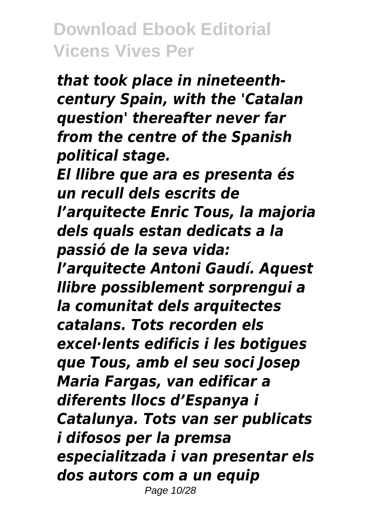*that took place in nineteenthcentury Spain, with the 'Catalan question' thereafter never far from the centre of the Spanish political stage.*

*El llibre que ara es presenta és un recull dels escrits de l'arquitecte Enric Tous, la majoria dels quals estan dedicats a la passió de la seva vida: l'arquitecte Antoni Gaudí. Aquest llibre possiblement sorprengui a la comunitat dels arquitectes catalans. Tots recorden els excel·lents edificis i les botigues que Tous, amb el seu soci Josep Maria Fargas, van edificar a diferents llocs d'Espanya i Catalunya. Tots van ser publicats i difosos per la premsa especialitzada i van presentar els dos autors com a un equip* Page 10/28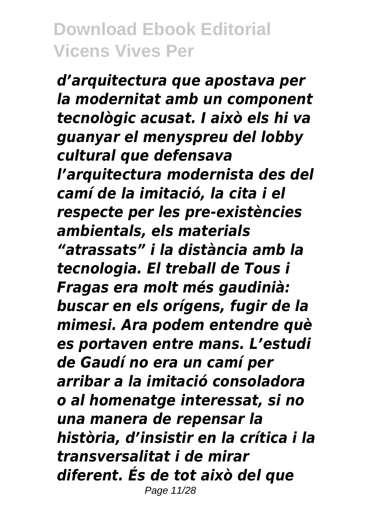*d'arquitectura que apostava per la modernitat amb un component tecnològic acusat. I això els hi va guanyar el menyspreu del lobby cultural que defensava l'arquitectura modernista des del camí de la imitació, la cita i el respecte per les pre-existències ambientals, els materials "atrassats" i la distància amb la tecnologia. El treball de Tous i Fragas era molt més gaudinià: buscar en els orígens, fugir de la mimesi. Ara podem entendre què es portaven entre mans. L'estudi de Gaudí no era un camí per arribar a la imitació consoladora o al homenatge interessat, si no una manera de repensar la història, d'insistir en la crítica i la transversalitat i de mirar diferent. És de tot això del que* Page 11/28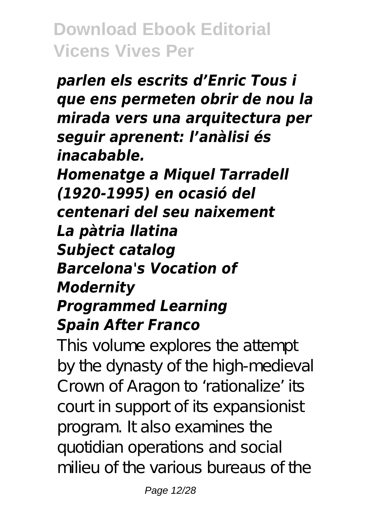*parlen els escrits d'Enric Tous i que ens permeten obrir de nou la mirada vers una arquitectura per seguir aprenent: l'anàlisi és inacabable. Homenatge a Miquel Tarradell (1920-1995) en ocasió del centenari del seu naixement La pàtria llatina Subject catalog Barcelona's Vocation of Modernity Programmed Learning Spain After Franco*

This volume explores the attempt by the dynasty of the high-medieval Crown of Aragon to 'rationalize' its court in support of its expansionist program. It also examines the quotidian operations and social milieu of the various bureaus of the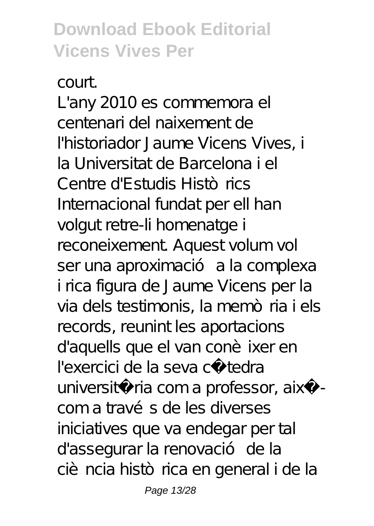court.

L'any 2010 es commemora el centenari del naixement de l'historiador Jaume Vicens Vives, i la Universitat de Barcelona i el Centre d'Estudis Històrics Internacional fundat per ell han volgut retre-li homenatge i reconeixement. Aquest volum vol ser una aproximació a la complexa i rica figura de Jaume Vicens per la via dels testimonis, la memòria i els records, reunint les aportacions d'aquells que el van conè ixer en l'exercici de la seva cà tedra università ria com a professor, aixà com a través de les diverses iniciatives que va endegar per tal d'assegurar la renovació de la ciència històrica en general i de la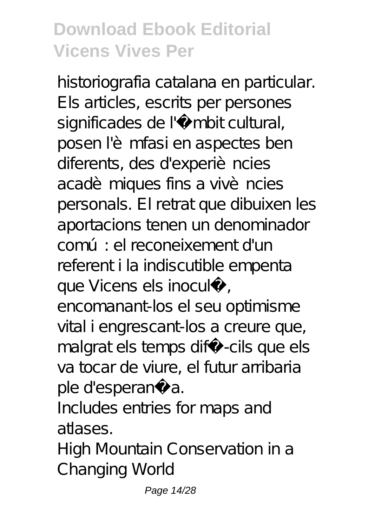historiografia catalana en particular. Els articles, escrits per persones significades de l'Ãmbit cultural, posen l'èmfasi en aspectes ben diferents, des d'experiències acadèmiques fins a vivències personals. El retrat que dibuixen les aportacions tenen un denominador comú: el reconeixement d'un referent i la indiscutible empenta que Vicens els inoculÃ, encomanant-los el seu optimisme

vital i engrescant-los a creure que, malgrat els temps difÃ-cils que els va tocar de viure, el futur arribaria ple d'esperança.

Includes entries for maps and atlases.

High Mountain Conservation in a Changing World

Page 14/28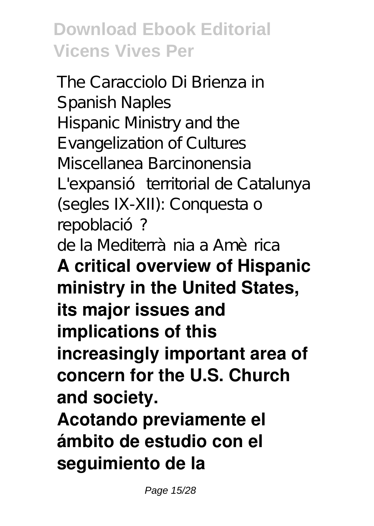The Caracciolo Di Brienza in Spanish Naples Hispanic Ministry and the Evangelization of Cultures Miscellanea Barcinonensia L'expansió territorial de Catalunya (segles IX-XII): Conquesta o repoblació? de la Mediterrà nia a Amèrica **A critical overview of Hispanic ministry in the United States, its major issues and implications of this increasingly important area of concern for the U.S. Church and society.**

**Acotando previamente el ámbito de estudio con el seguimiento de la**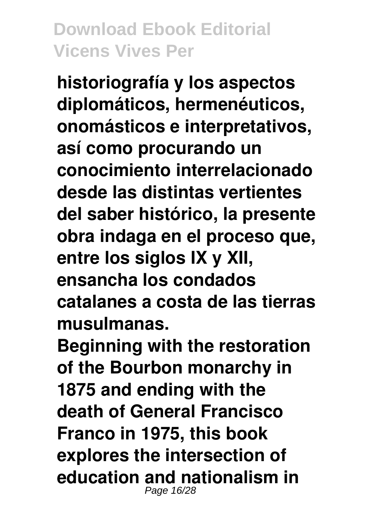**historiografía y los aspectos diplomáticos, hermenéuticos, onomásticos e interpretativos, así como procurando un conocimiento interrelacionado desde las distintas vertientes del saber histórico, la presente obra indaga en el proceso que, entre los siglos IX y XII, ensancha los condados catalanes a costa de las tierras musulmanas.**

**Beginning with the restoration of the Bourbon monarchy in 1875 and ending with the death of General Francisco Franco in 1975, this book explores the intersection of education and nationalism in** Page 16/28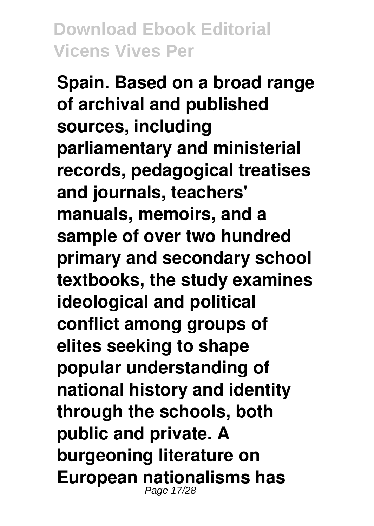**Spain. Based on a broad range of archival and published sources, including parliamentary and ministerial records, pedagogical treatises and journals, teachers' manuals, memoirs, and a sample of over two hundred primary and secondary school textbooks, the study examines ideological and political conflict among groups of elites seeking to shape popular understanding of national history and identity through the schools, both public and private. A burgeoning literature on European nationalisms has** Page 17/28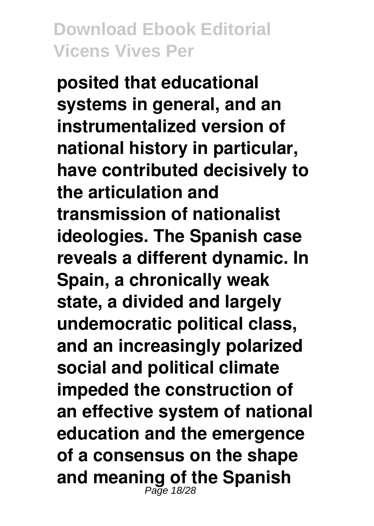**posited that educational systems in general, and an instrumentalized version of national history in particular, have contributed decisively to the articulation and transmission of nationalist ideologies. The Spanish case reveals a different dynamic. In Spain, a chronically weak state, a divided and largely undemocratic political class, and an increasingly polarized social and political climate impeded the construction of an effective system of national education and the emergence of a consensus on the shape and meaning of the Spanish** Page 18/28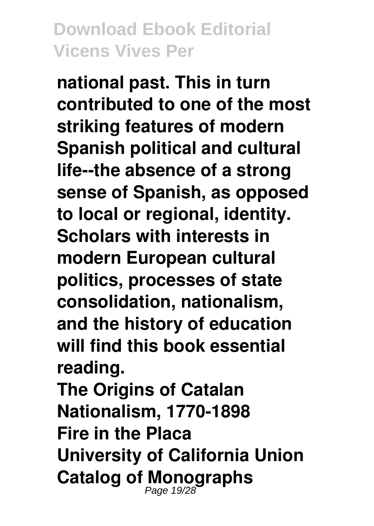**national past. This in turn contributed to one of the most striking features of modern Spanish political and cultural life--the absence of a strong sense of Spanish, as opposed to local or regional, identity. Scholars with interests in modern European cultural politics, processes of state consolidation, nationalism, and the history of education will find this book essential reading. The Origins of Catalan Nationalism, 1770-1898 Fire in the Placa University of California Union Catalog of Monographs** Page 19/28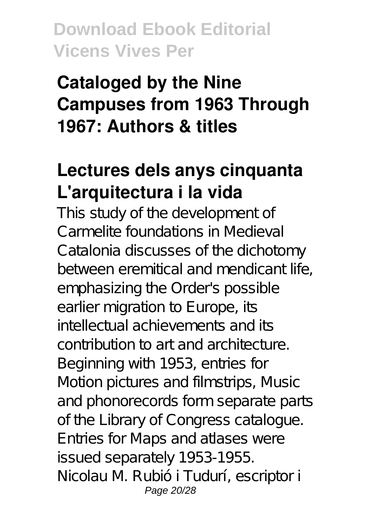# **Cataloged by the Nine Campuses from 1963 Through 1967: Authors & titles**

# **Lectures dels anys cinquanta L'arquitectura i la vida**

This study of the development of Carmelite foundations in Medieval Catalonia discusses of the dichotomy between eremitical and mendicant life, emphasizing the Order's possible earlier migration to Europe, its intellectual achievements and its contribution to art and architecture. Beginning with 1953, entries for Motion pictures and filmstrips, Music and phonorecords form separate parts of the Library of Congress catalogue. Entries for Maps and atlases were issued separately 1953-1955. Nicolau M. Rubió i Tudurí, escriptor i Page 20/28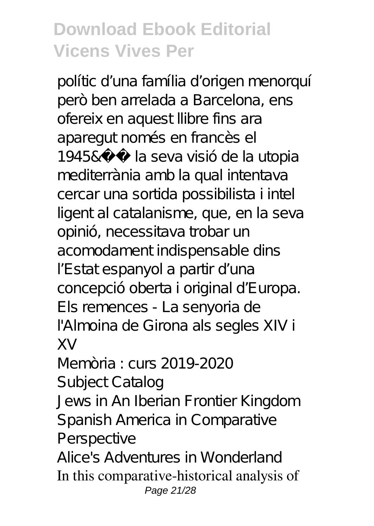polític d'una família d'origen menorquí però ben arrelada a Barcelona, ens ofereix en aquest llibre fins ara aparegut només en francès el 1945& la seva visió de la utopia mediterrània amb la qual intentava cercar una sortida possibilista i intel ligent al catalanisme, que, en la seva opinió, necessitava trobar un acomodament indispensable dins

l' Estat espanyol a partir d'una concepció oberta i original d'Europa. Els remences - La senyoria de l'Almoina de Girona als segles XIV i XV

Memòria : curs 2019-2020 Subject Catalog

Jews in An Iberian Frontier Kingdom Spanish America in Comparative Perspective

Alice's Adventures in Wonderland In this comparative-historical analysis of Page 21/28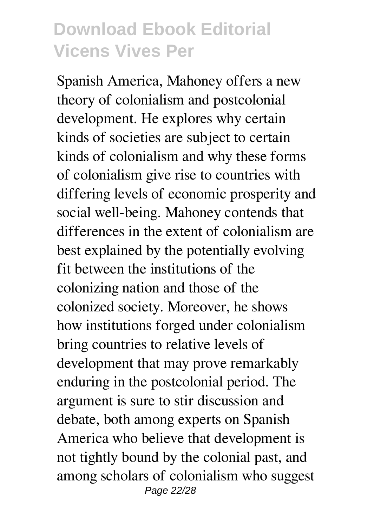Spanish America, Mahoney offers a new theory of colonialism and postcolonial development. He explores why certain kinds of societies are subject to certain kinds of colonialism and why these forms of colonialism give rise to countries with differing levels of economic prosperity and social well-being. Mahoney contends that differences in the extent of colonialism are best explained by the potentially evolving fit between the institutions of the colonizing nation and those of the colonized society. Moreover, he shows how institutions forged under colonialism bring countries to relative levels of development that may prove remarkably enduring in the postcolonial period. The argument is sure to stir discussion and debate, both among experts on Spanish America who believe that development is not tightly bound by the colonial past, and among scholars of colonialism who suggest Page 22/28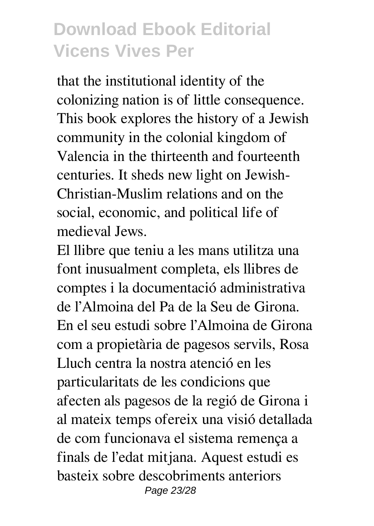that the institutional identity of the colonizing nation is of little consequence. This book explores the history of a Jewish community in the colonial kingdom of Valencia in the thirteenth and fourteenth centuries. It sheds new light on Jewish-Christian-Muslim relations and on the social, economic, and political life of medieval Jews.

El llibre que teniu a les mans utilitza una font inusualment completa, els llibres de comptes i la documentació administrativa de l'Almoina del Pa de la Seu de Girona. En el seu estudi sobre l'Almoina de Girona com a propietària de pagesos servils, Rosa Lluch centra la nostra atenció en les particularitats de les condicions que afecten als pagesos de la regió de Girona i al mateix temps ofereix una visió detallada de com funcionava el sistema remença a finals de l'edat mitjana. Aquest estudi es basteix sobre descobriments anteriors Page 23/28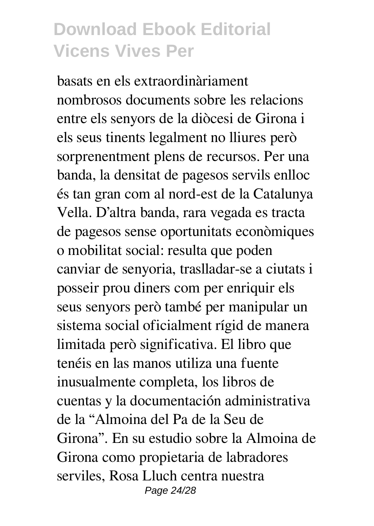basats en els extraordinàriament nombrosos documents sobre les relacions entre els senyors de la diòcesi de Girona i els seus tinents legalment no lliures però sorprenentment plens de recursos. Per una banda, la densitat de pagesos servils enlloc és tan gran com al nord-est de la Catalunya Vella. D'altra banda, rara vegada es tracta de pagesos sense oportunitats econòmiques o mobilitat social: resulta que poden canviar de senyoria, traslladar-se a ciutats i posseir prou diners com per enriquir els seus senyors però també per manipular un sistema social oficialment rígid de manera limitada però significativa. El libro que tenéis en las manos utiliza una fuente inusualmente completa, los libros de cuentas y la documentación administrativa de la "Almoina del Pa de la Seu de Girona". En su estudio sobre la Almoina de Girona como propietaria de labradores serviles, Rosa Lluch centra nuestra Page 24/28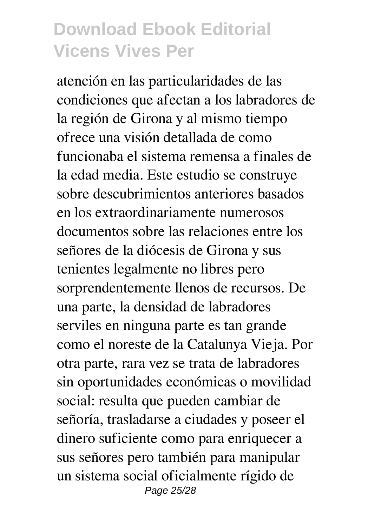atención en las particularidades de las condiciones que afectan a los labradores de la región de Girona y al mismo tiempo ofrece una visión detallada de como funcionaba el sistema remensa a finales de la edad media. Este estudio se construye sobre descubrimientos anteriores basados en los extraordinariamente numerosos documentos sobre las relaciones entre los señores de la diócesis de Girona y sus tenientes legalmente no libres pero sorprendentemente llenos de recursos. De una parte, la densidad de labradores serviles en ninguna parte es tan grande como el noreste de la Catalunya Vieja. Por otra parte, rara vez se trata de labradores sin oportunidades económicas o movilidad social: resulta que pueden cambiar de señoría, trasladarse a ciudades y poseer el dinero suficiente como para enriquecer a sus señores pero también para manipular un sistema social oficialmente rígido de Page 25/28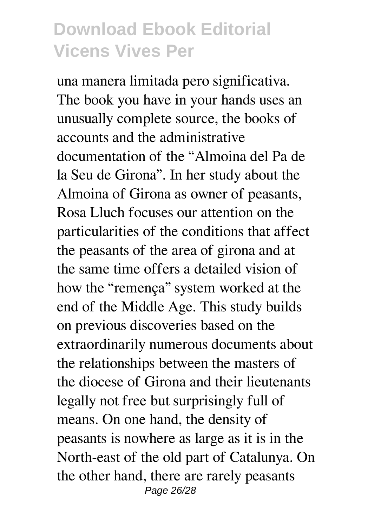una manera limitada pero significativa. The book you have in your hands uses an unusually complete source, the books of accounts and the administrative documentation of the "Almoina del Pa de la Seu de Girona". In her study about the Almoina of Girona as owner of peasants, Rosa Lluch focuses our attention on the particularities of the conditions that affect the peasants of the area of girona and at the same time offers a detailed vision of how the "remença" system worked at the end of the Middle Age. This study builds on previous discoveries based on the extraordinarily numerous documents about the relationships between the masters of the diocese of Girona and their lieutenants legally not free but surprisingly full of means. On one hand, the density of peasants is nowhere as large as it is in the North-east of the old part of Catalunya. On the other hand, there are rarely peasants Page 26/28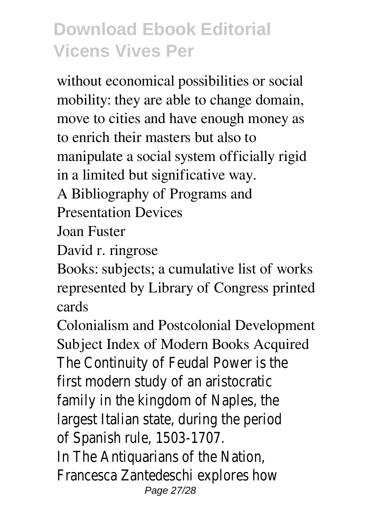without economical possibilities or social mobility: they are able to change domain, move to cities and have enough money as to enrich their masters but also to manipulate a social system officially rigid in a limited but significative way.

A Bibliography of Programs and

Presentation Devices

Joan Fuster

David r. ringrose

Books: subjects; a cumulative list of works represented by Library of Congress printed cards

Colonialism and Postcolonial Development Subject Index of Modern Books Acquired The Continuity of Feudal Power is the first modern study of an aristocratic family in the kingdom of Naples, the largest Italian state, during the period of Spanish rule, 1503-1707. In The Antiquarians of the Nation, Francesca Zantedeschi explores how Page 27/28